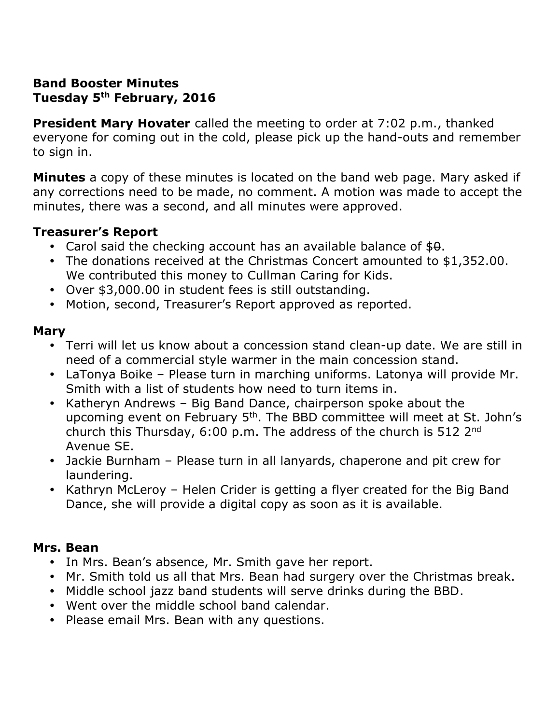# **Band Booster Minutes Tuesday 5th February, 2016**

**President Mary Hovater** called the meeting to order at 7:02 p.m., thanked everyone for coming out in the cold, please pick up the hand-outs and remember to sign in.

**Minutes** a copy of these minutes is located on the band web page. Mary asked if any corrections need to be made, no comment. A motion was made to accept the minutes, there was a second, and all minutes were approved.

# **Treasurer's Report**

- Carol said the checking account has an available balance of  $$0.$
- The donations received at the Christmas Concert amounted to \$1,352.00. We contributed this money to Cullman Caring for Kids.
- Over \$3,000.00 in student fees is still outstanding.
- Motion, second, Treasurer's Report approved as reported.

#### **Mary**

- Terri will let us know about a concession stand clean-up date. We are still in need of a commercial style warmer in the main concession stand.
- LaTonya Boike Please turn in marching uniforms. Latonya will provide Mr. Smith with a list of students how need to turn items in.
- Katheryn Andrews Big Band Dance, chairperson spoke about the upcoming event on February 5<sup>th</sup>. The BBD committee will meet at St. John's church this Thursday, 6:00 p.m. The address of the church is 512 2nd Avenue SE.
- Jackie Burnham Please turn in all lanyards, chaperone and pit crew for laundering.
- Kathryn McLeroy Helen Crider is getting a flyer created for the Big Band Dance, she will provide a digital copy as soon as it is available.

# **Mrs. Bean**

- In Mrs. Bean's absence, Mr. Smith gave her report.
- Mr. Smith told us all that Mrs. Bean had surgery over the Christmas break.
- Middle school jazz band students will serve drinks during the BBD.
- Went over the middle school band calendar.
- Please email Mrs. Bean with any questions.